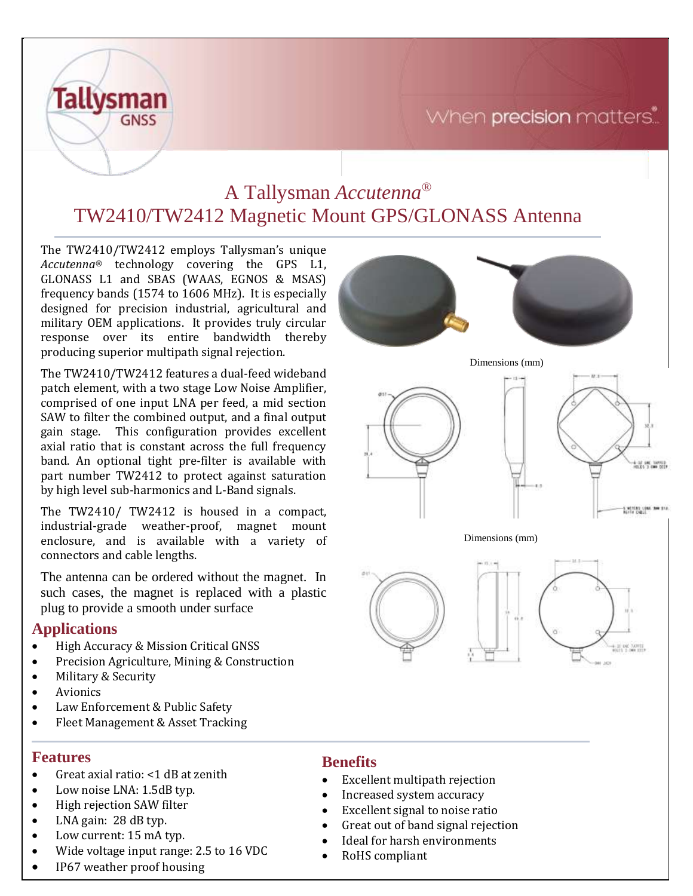# When precision matters.



The TW2410/TW2412 employs Tallysman's unique *Accutenna®* technology covering the GPS L1, GLONASS L1 and SBAS (WAAS, EGNOS & MSAS) frequency bands (1574 to 1606 MHz). It is especially designed for precision industrial, agricultural and military OEM applications. It provides truly circular response over its entire bandwidth thereby producing superior multipath signal rejection.

**Tallysman** 

**GNSS** 

The TW2410/TW2412 features a dual-feed wideband patch element, with a two stage Low Noise Amplifier, comprised of one input LNA per feed, a mid section SAW to filter the combined output, and a final output gain stage. This configuration provides excellent axial ratio that is constant across the full frequency band. An optional tight pre-filter is available with part number TW2412 to protect against saturation by high level sub-harmonics and L-Band signals.

The TW2410/ TW2412 is housed in a compact, industrial-grade weather-proof, magnet mount enclosure, and is available with a variety of connectors and cable lengths.

The antenna can be ordered without the magnet. In such cases, the magnet is replaced with a plastic plug to provide a smooth under surface

### **Applications**

- High Accuracy & Mission Critical GNSS
- Precision Agriculture, Mining & Construction
- Military & Security
- Avionics
- Law Enforcement & Public Safety
- Fleet Management & Asset Tracking

#### **Features**

- Great axial ratio: <1 dB at zenith
- Low noise LNA: 1.5dB typ.
- High rejection SAW filter
- LNA gain: 28 dB typ.
- Low current: 15 mA typ.
- Wide voltage input range: 2.5 to 16 VDC
- IP67 weather proof housing

### **Benefits**

- Excellent multipath rejection
- Increased system accuracy
- Excellent signal to noise ratio
- Great out of band signal rejection
- Ideal for harsh environments
- RoHS compliant